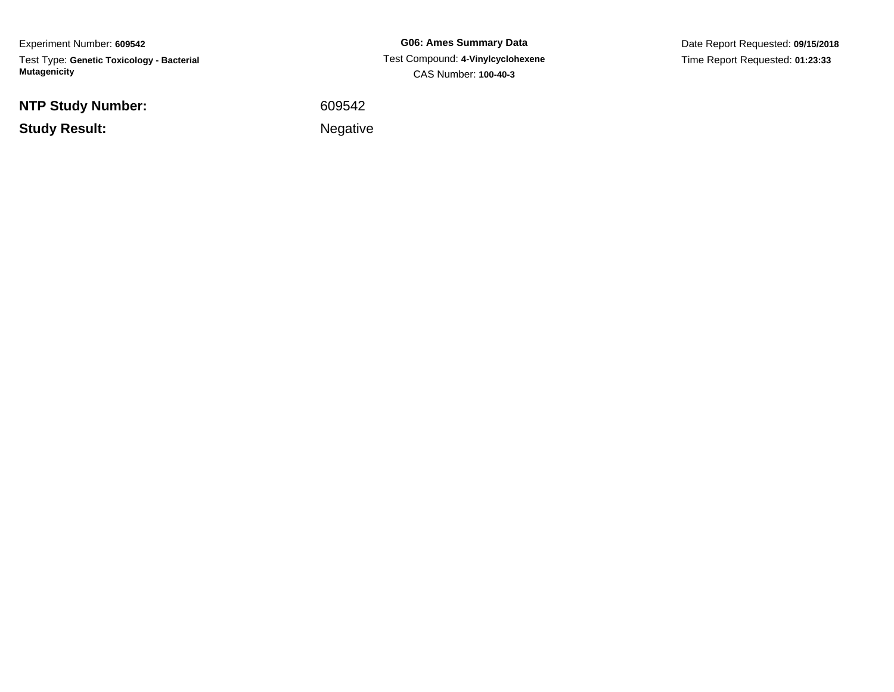Experiment Number: **609542**Test Type: **Genetic Toxicology - Bacterial Mutagenicity**

**NTP Study Number:**

**Study Result:**

**G06: Ames Summary Data** Test Compound: **4-Vinylcyclohexene**CAS Number: **100-40-3**

Date Report Requested: **09/15/2018**Time Report Requested: **01:23:33**

<sup>609542</sup>

Negative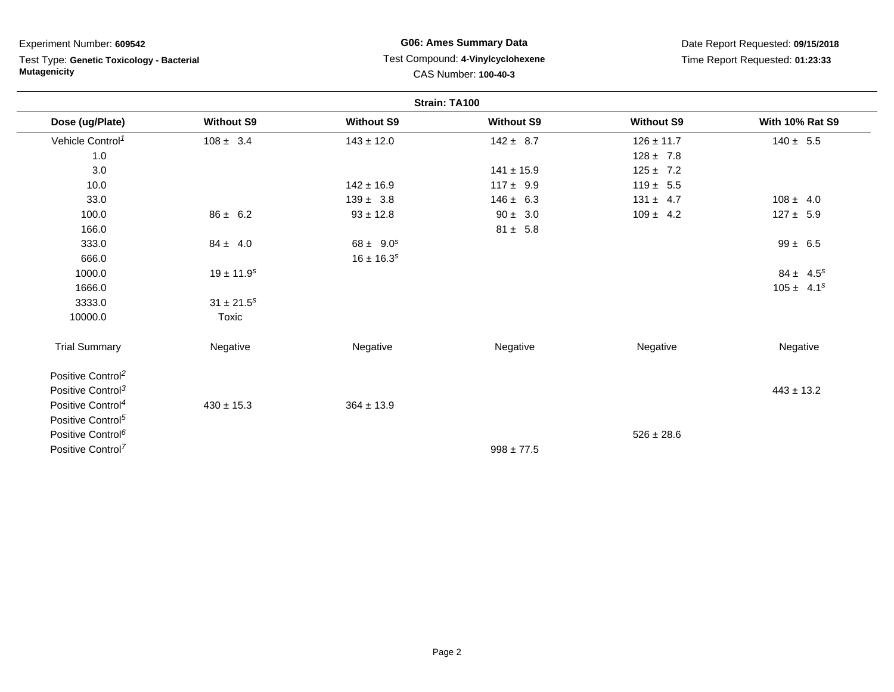| Experiment Number: 609542<br>Test Type: Genetic Toxicology - Bacterial |                            | <b>G06: Ames Summary Data</b><br>Test Compound: 4-Vinylcyclohexene |                      |                                 | Date Report Requested: 09/15/2018 |  |  |
|------------------------------------------------------------------------|----------------------------|--------------------------------------------------------------------|----------------------|---------------------------------|-----------------------------------|--|--|
|                                                                        |                            |                                                                    |                      | Time Report Requested: 01:23:33 |                                   |  |  |
| <b>Mutagenicity</b>                                                    |                            |                                                                    | CAS Number: 100-40-3 |                                 |                                   |  |  |
| Strain: TA100                                                          |                            |                                                                    |                      |                                 |                                   |  |  |
| Dose (ug/Plate)                                                        | <b>Without S9</b>          | <b>Without S9</b>                                                  | <b>Without S9</b>    | <b>Without S9</b>               | <b>With 10% Rat S9</b>            |  |  |
| Vehicle Control <sup>1</sup>                                           | $108 \pm 3.4$              | $143 \pm 12.0$                                                     | $142 \pm 8.7$        | $126 \pm 11.7$                  | $140 \pm 5.5$                     |  |  |
| 1.0                                                                    |                            |                                                                    |                      | $128 \pm 7.8$                   |                                   |  |  |
| 3.0                                                                    |                            |                                                                    | $141 \pm 15.9$       | $125 \pm 7.2$                   |                                   |  |  |
| 10.0                                                                   |                            | $142 \pm 16.9$                                                     | $117 \pm 9.9$        | $119 \pm 5.5$                   |                                   |  |  |
| 33.0                                                                   |                            | $139 \pm 3.8$                                                      | $146 \pm 6.3$        | $131 \pm 4.7$                   | $108 \pm 4.0$                     |  |  |
| 100.0                                                                  | $86 \pm 6.2$               | $93 \pm 12.8$                                                      | $90 \pm 3.0$         | $109 \pm 4.2$                   | $127 \pm 5.9$                     |  |  |
| 166.0                                                                  |                            |                                                                    | $81 \pm 5.8$         |                                 |                                   |  |  |
| 333.0                                                                  | $84 \pm 4.0$               | $68 \pm 9.0^s$                                                     |                      |                                 | $99 \pm 6.5$                      |  |  |
| 666.0                                                                  |                            | $16 \pm 16.3^{s}$                                                  |                      |                                 |                                   |  |  |
| 1000.0                                                                 | $19 \pm 11.9$ <sup>s</sup> |                                                                    |                      |                                 | $84 \pm 4.5^s$                    |  |  |
| 1666.0                                                                 |                            |                                                                    |                      |                                 | $105 \pm 4.1^s$                   |  |  |
| 3333.0                                                                 | $31 \pm 21.5^s$            |                                                                    |                      |                                 |                                   |  |  |
| 10000.0                                                                | Toxic                      |                                                                    |                      |                                 |                                   |  |  |
| <b>Trial Summary</b>                                                   | Negative                   | Negative                                                           | Negative             | Negative                        | Negative                          |  |  |
| Positive Control <sup>2</sup>                                          |                            |                                                                    |                      |                                 |                                   |  |  |
| Positive Control <sup>3</sup>                                          |                            |                                                                    |                      |                                 | $443 \pm 13.2$                    |  |  |
| Positive Control <sup>4</sup>                                          | $430 \pm 15.3$             | $364 \pm 13.9$                                                     |                      |                                 |                                   |  |  |
| Positive Control <sup>5</sup>                                          |                            |                                                                    |                      |                                 |                                   |  |  |
| Positive Control <sup>6</sup>                                          |                            |                                                                    |                      | $526 \pm 28.6$                  |                                   |  |  |
| Positive Control <sup>7</sup>                                          |                            |                                                                    | $998 \pm 77.5$       |                                 |                                   |  |  |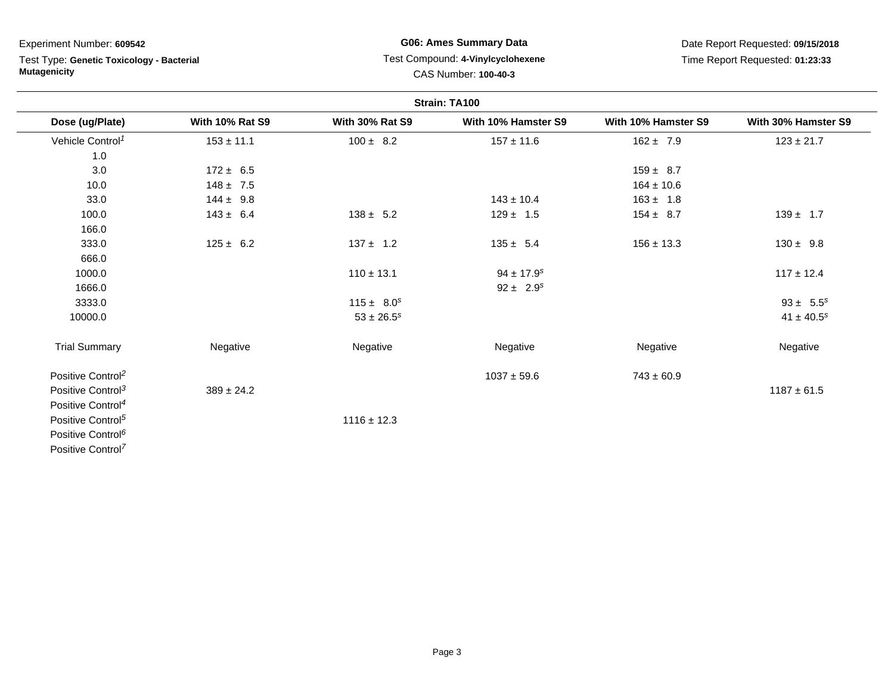Test Type: **Genetic Toxicology - Bacterial Mutagenicity**

## **G06: Ames Summary Data** Test Compound: **4-Vinylcyclohexene**CAS Number: **100-40-3**

|                               |                        |                        | Strain: TA100              |                     |                     |
|-------------------------------|------------------------|------------------------|----------------------------|---------------------|---------------------|
| Dose (ug/Plate)               | <b>With 10% Rat S9</b> | <b>With 30% Rat S9</b> | With 10% Hamster S9        | With 10% Hamster S9 | With 30% Hamster S9 |
| Vehicle Control <sup>1</sup>  | $153 \pm 11.1$         | $100 \pm 8.2$          | $157 \pm 11.6$             | $162 \pm 7.9$       | $123 \pm 21.7$      |
| 1.0                           |                        |                        |                            |                     |                     |
| 3.0                           | $172 \pm 6.5$          |                        |                            | $159 \pm 8.7$       |                     |
| 10.0                          | $148 \pm 7.5$          |                        |                            | $164 \pm 10.6$      |                     |
| 33.0                          | $144 \pm 9.8$          |                        | $143 \pm 10.4$             | $163 \pm 1.8$       |                     |
| 100.0                         | $143 \pm 6.4$          | $138 \pm 5.2$          | $129 \pm 1.5$              | $154 \pm 8.7$       | $139 \pm 1.7$       |
| 166.0                         |                        |                        |                            |                     |                     |
| 333.0                         | $125 \pm 6.2$          | $137 \pm 1.2$          | $135 \pm 5.4$              | $156 \pm 13.3$      | $130 \pm 9.8$       |
| 666.0                         |                        |                        |                            |                     |                     |
| 1000.0                        |                        | $110 \pm 13.1$         | $94 \pm 17.9$ <sup>s</sup> |                     | $117 \pm 12.4$      |
| 1666.0                        |                        |                        | $92 \pm 2.9^s$             |                     |                     |
| 3333.0                        |                        | $115 \pm 8.0^s$        |                            |                     | $93 \pm 5.5^s$      |
| 10000.0                       |                        | $53 \pm 26.5^s$        |                            |                     | $41 \pm 40.5^s$     |
| <b>Trial Summary</b>          | Negative               | Negative               | Negative                   | Negative            | Negative            |
| Positive Control <sup>2</sup> |                        |                        | $1037 \pm 59.6$            | $743 \pm 60.9$      |                     |
| Positive Control <sup>3</sup> | $389 \pm 24.2$         |                        |                            |                     | $1187 \pm 61.5$     |
| Positive Control <sup>4</sup> |                        |                        |                            |                     |                     |
| Positive Control <sup>5</sup> |                        | $1116 \pm 12.3$        |                            |                     |                     |
| Positive Control <sup>6</sup> |                        |                        |                            |                     |                     |
| Positive Control <sup>7</sup> |                        |                        |                            |                     |                     |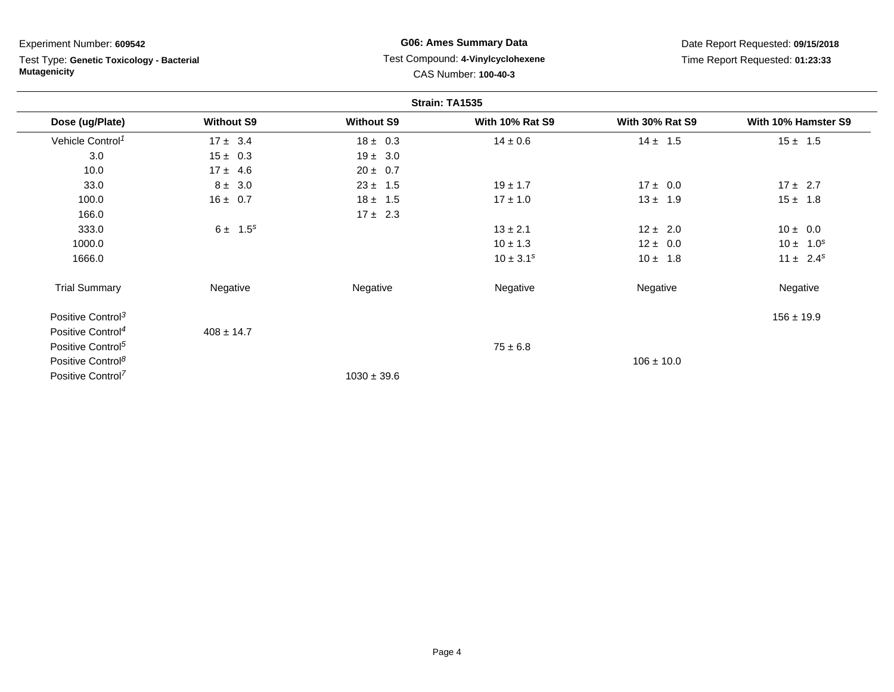Test Type: **Genetic Toxicology - Bacterial Mutagenicity**

## **G06: Ames Summary Data** Test Compound: **4-Vinylcyclohexene**CAS Number: **100-40-3**

|                               |                   |                   | Strain: TA1535         |                        |                     |
|-------------------------------|-------------------|-------------------|------------------------|------------------------|---------------------|
| Dose (ug/Plate)               | <b>Without S9</b> | <b>Without S9</b> | <b>With 10% Rat S9</b> | <b>With 30% Rat S9</b> | With 10% Hamster S9 |
| Vehicle Control <sup>1</sup>  | $17 \pm 3.4$      | $18 \pm 0.3$      | $14 \pm 0.6$           | $14 \pm 1.5$           | $15 \pm 1.5$        |
| 3.0                           | $15 \pm 0.3$      | $19 \pm 3.0$      |                        |                        |                     |
| 10.0                          | $17 \pm 4.6$      | $20 \pm 0.7$      |                        |                        |                     |
| 33.0                          | $8 \pm 3.0$       | $23 \pm 1.5$      | $19 \pm 1.7$           | $17 \pm 0.0$           | $17 \pm 2.7$        |
| 100.0                         | $16 \pm 0.7$      | $18 \pm 1.5$      | $17 \pm 1.0$           | $13 \pm 1.9$           | $15 \pm 1.8$        |
| 166.0                         |                   | $17 \pm 2.3$      |                        |                        |                     |
| 333.0                         | $6 \pm 1.5^s$     |                   | $13 \pm 2.1$           | $12 \pm 2.0$           | $10 \pm 0.0$        |
| 1000.0                        |                   |                   | $10 \pm 1.3$           | $12 \pm 0.0$           | $10 \pm 1.0^s$      |
| 1666.0                        |                   |                   | $10 \pm 3.1^s$         | $10 \pm 1.8$           | $11 \pm 2.4^s$      |
| <b>Trial Summary</b>          | Negative          | Negative          | Negative               | Negative               | Negative            |
| Positive Control <sup>3</sup> |                   |                   |                        |                        | $156 \pm 19.9$      |
| Positive Control <sup>4</sup> | $408 \pm 14.7$    |                   |                        |                        |                     |
| Positive Control <sup>5</sup> |                   |                   | $75 \pm 6.8$           |                        |                     |
| Positive Control <sup>8</sup> |                   |                   |                        | $106 \pm 10.0$         |                     |
| Positive Control <sup>7</sup> |                   | $1030 \pm 39.6$   |                        |                        |                     |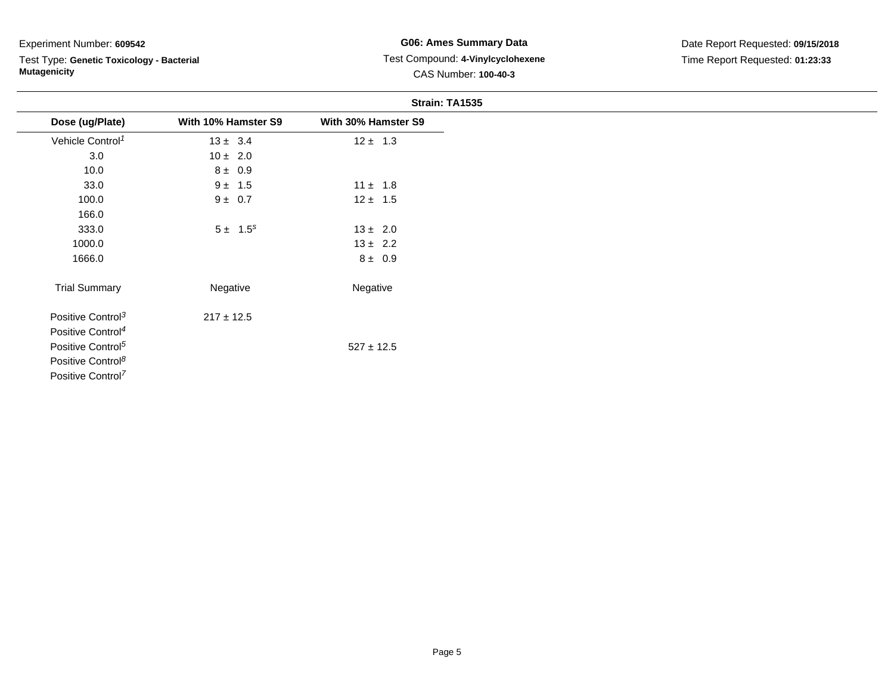÷.

Test Type: **Genetic Toxicology - Bacterial Mutagenicity**

## **G06: Ames Summary Data** Test Compound: **4-Vinylcyclohexene**CAS Number: **100-40-3**

|                               |                     | Strain: TA1535      |
|-------------------------------|---------------------|---------------------|
| Dose (ug/Plate)               | With 10% Hamster S9 | With 30% Hamster S9 |
| Vehicle Control <sup>1</sup>  | $13 \pm 3.4$        | $12 \pm 1.3$        |
| 3.0                           | $10 \pm 2.0$        |                     |
| 10.0                          | $8 \pm 0.9$         |                     |
| 33.0                          | $9 \pm 1.5$         | $11 \pm 1.8$        |
| 100.0                         | $9 \pm 0.7$         | $12 \pm 1.5$        |
| 166.0                         |                     |                     |
| 333.0                         | $5 \pm 1.5^s$       | $13 \pm 2.0$        |
| 1000.0                        |                     | $13 \pm 2.2$        |
| 1666.0                        |                     | $8 \pm 0.9$         |
| <b>Trial Summary</b>          | Negative            | Negative            |
| Positive Control <sup>3</sup> | $217 \pm 12.5$      |                     |
| Positive Control <sup>4</sup> |                     |                     |
| Positive Control <sup>5</sup> |                     | $527 \pm 12.5$      |
| Positive Control <sup>8</sup> |                     |                     |

Positive Control<sup>7</sup>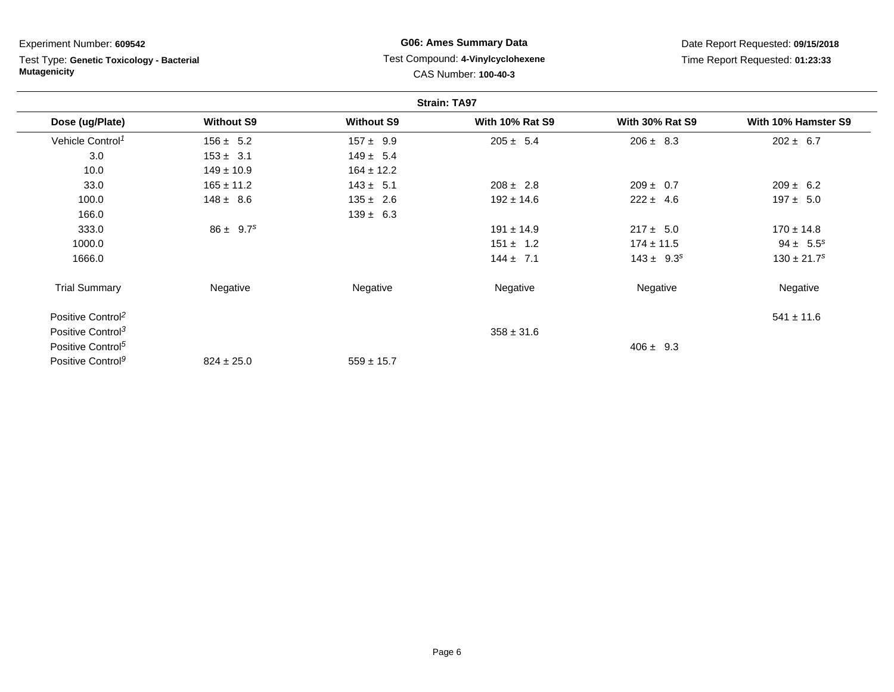| Experiment Number: 609542                                        |                           | <b>G06: Ames Summary Data</b> |                                                           | Date Report Requested: 09/15/2018 |                             |  |
|------------------------------------------------------------------|---------------------------|-------------------------------|-----------------------------------------------------------|-----------------------------------|-----------------------------|--|
| Test Type: Genetic Toxicology - Bacterial<br><b>Mutagenicity</b> |                           |                               | Test Compound: 4-Vinylcyclohexene<br>CAS Number: 100-40-3 | Time Report Requested: 01:23:33   |                             |  |
|                                                                  |                           |                               | <b>Strain: TA97</b>                                       |                                   |                             |  |
| Dose (ug/Plate)                                                  | <b>Without S9</b>         | <b>Without S9</b>             | <b>With 10% Rat S9</b>                                    | <b>With 30% Rat S9</b>            | With 10% Hamster S9         |  |
| Vehicle Control <sup>1</sup>                                     | $156 \pm 5.2$             | $157 \pm 9.9$                 | $205 \pm 5.4$                                             | $206 \pm 8.3$                     | $202 \pm 6.7$               |  |
| 3.0                                                              | $153 \pm 3.1$             | $149 \pm 5.4$                 |                                                           |                                   |                             |  |
| 10.0                                                             | $149 \pm 10.9$            | $164 \pm 12.2$                |                                                           |                                   |                             |  |
| 33.0                                                             | $165 \pm 11.2$            | $143 \pm 5.1$                 | $208 \pm 2.8$                                             | $209 \pm 0.7$                     | $209 \pm 6.2$               |  |
| 100.0                                                            | $148 \pm 8.6$             | $135 \pm 2.6$                 | $192 \pm 14.6$                                            | $222 \pm 4.6$                     | $197 \pm 5.0$               |  |
| 166.0                                                            |                           | $139 \pm 6.3$                 |                                                           |                                   |                             |  |
| 333.0                                                            | $86 \pm 9.7$ <sup>s</sup> |                               | $191 \pm 14.9$                                            | $217 \pm 5.0$                     | $170 \pm 14.8$              |  |
| 1000.0                                                           |                           |                               | $151 \pm 1.2$                                             | $174 \pm 11.5$                    | $94 \pm 5.5^s$              |  |
| 1666.0                                                           |                           |                               | $144 \pm 7.1$                                             | $143 \pm 9.3^s$                   | $130 \pm 21.7$ <sup>s</sup> |  |
| <b>Trial Summary</b>                                             | Negative                  | Negative                      | Negative                                                  | Negative                          | Negative                    |  |
| Positive Control <sup>2</sup>                                    |                           |                               |                                                           |                                   | $541 \pm 11.6$              |  |
| Positive Control <sup>3</sup>                                    |                           |                               | $358 \pm 31.6$                                            |                                   |                             |  |
| Positive Control <sup>5</sup>                                    |                           |                               |                                                           | $406 \pm 9.3$                     |                             |  |
| Positive Control <sup>9</sup>                                    | $824 \pm 25.0$            | $559 \pm 15.7$                |                                                           |                                   |                             |  |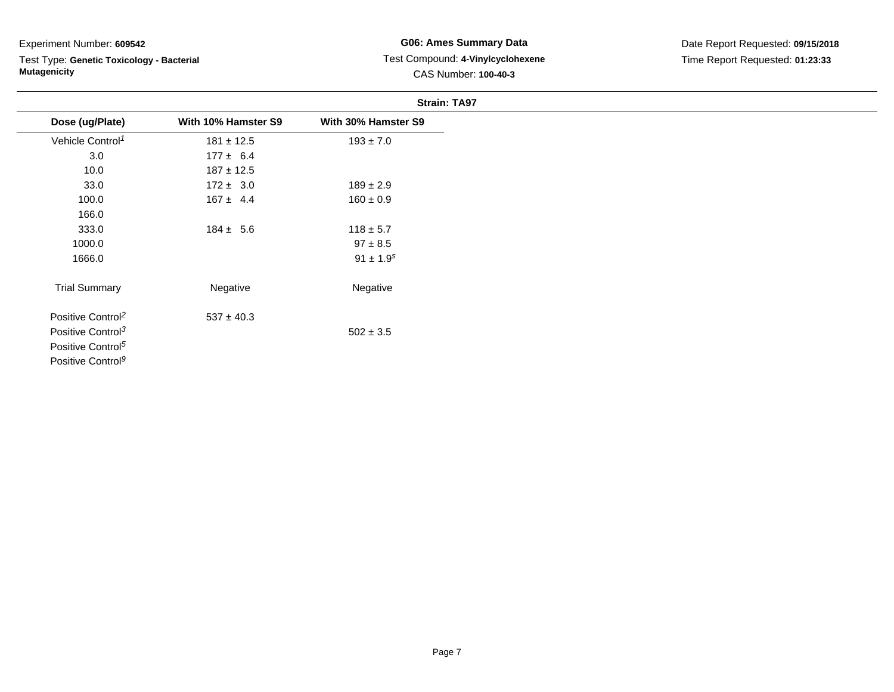Test Type: **Genetic Toxicology - Bacterial Mutagenicity**

## **G06: Ames Summary Data** Test Compound: **4-Vinylcyclohexene**CAS Number: **100-40-3**

|                               |                     | <b>Strain: TA97</b> |
|-------------------------------|---------------------|---------------------|
| Dose (ug/Plate)               | With 10% Hamster S9 | With 30% Hamster S9 |
| Vehicle Control <sup>1</sup>  | $181 \pm 12.5$      | $193 \pm 7.0$       |
| 3.0                           | $177 \pm 6.4$       |                     |
| 10.0                          | $187 \pm 12.5$      |                     |
| 33.0                          | $172 \pm 3.0$       | $189 \pm 2.9$       |
| 100.0                         | $167 \pm 4.4$       | $160 \pm 0.9$       |
| 166.0                         |                     |                     |
| 333.0                         | $184 \pm 5.6$       | $118 \pm 5.7$       |
| 1000.0                        |                     | $97 \pm 8.5$        |
| 1666.0                        |                     | $91 \pm 1.9^s$      |
| <b>Trial Summary</b>          | Negative            | Negative            |
| Positive Control <sup>2</sup> | $537 \pm 40.3$      |                     |
| Positive Control <sup>3</sup> |                     | $502 \pm 3.5$       |
| Positive Control <sup>5</sup> |                     |                     |

Positive Control<sup>9</sup>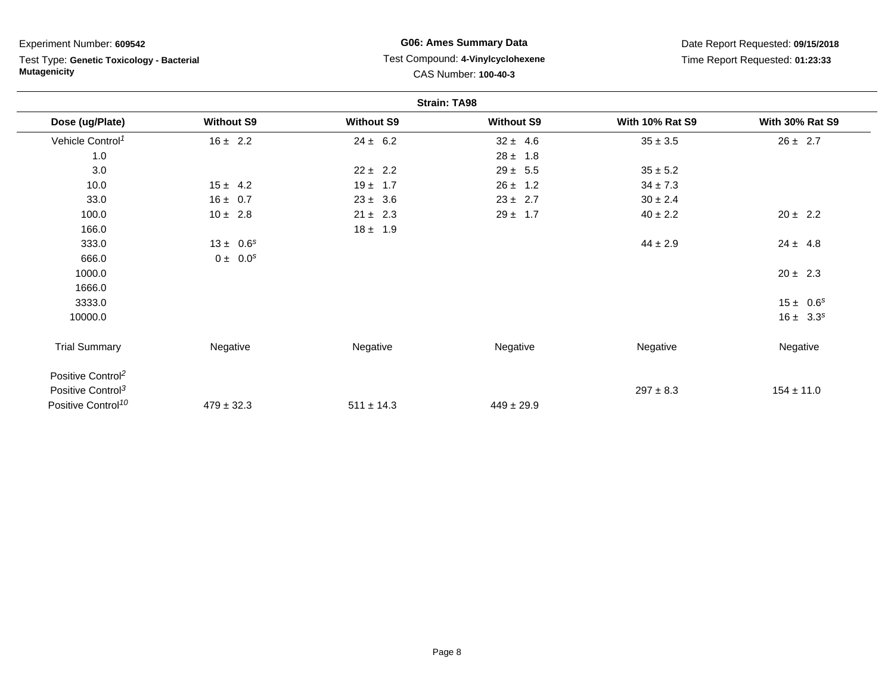| Experiment Number: 609542<br>Test Type: Genetic Toxicology - Bacterial<br><b>Mutagenicity</b> |                   | <b>G06: Ames Summary Data</b><br>Test Compound: 4-Vinylcyclohexene<br>CAS Number: 100-40-3 |                     | Date Report Requested: 09/15/2018 |                        |  |
|-----------------------------------------------------------------------------------------------|-------------------|--------------------------------------------------------------------------------------------|---------------------|-----------------------------------|------------------------|--|
|                                                                                               |                   |                                                                                            |                     | Time Report Requested: 01:23:33   |                        |  |
|                                                                                               |                   |                                                                                            | <b>Strain: TA98</b> |                                   |                        |  |
| Dose (ug/Plate)                                                                               | <b>Without S9</b> | <b>Without S9</b>                                                                          | <b>Without S9</b>   | <b>With 10% Rat S9</b>            | <b>With 30% Rat S9</b> |  |
| Vehicle Control <sup>1</sup>                                                                  | $16 \pm 2.2$      | $24 \pm 6.2$                                                                               | $32 \pm 4.6$        | $35 \pm 3.5$                      | $26 \pm 2.7$           |  |
| 1.0                                                                                           |                   |                                                                                            | $28 \pm 1.8$        |                                   |                        |  |
| 3.0                                                                                           |                   | $22 \pm 2.2$                                                                               | $29 \pm 5.5$        | $35 \pm 5.2$                      |                        |  |
| 10.0                                                                                          | $15 \pm 4.2$      | $19 \pm 1.7$                                                                               | $26 \pm 1.2$        | $34 \pm 7.3$                      |                        |  |
| 33.0                                                                                          | $16 \pm 0.7$      | $23 \pm 3.6$                                                                               | $23 \pm 2.7$        | $30 \pm 2.4$                      |                        |  |
| 100.0                                                                                         | $10 \pm 2.8$      | $21 \pm 2.3$                                                                               | $29 \pm 1.7$        | $40 \pm 2.2$                      | $20 \pm 2.2$           |  |
| 166.0                                                                                         |                   | $18 \pm 1.9$                                                                               |                     |                                   |                        |  |
| 333.0                                                                                         | $13 \pm 0.6^s$    |                                                                                            |                     | $44 \pm 2.9$                      | $24 \pm 4.8$           |  |
| 666.0                                                                                         | $0 \pm 0.0^s$     |                                                                                            |                     |                                   |                        |  |
| 1000.0                                                                                        |                   |                                                                                            |                     |                                   | $20 \pm 2.3$           |  |
| 1666.0                                                                                        |                   |                                                                                            |                     |                                   |                        |  |
| 3333.0                                                                                        |                   |                                                                                            |                     |                                   | $15 \pm 0.6^s$         |  |
| 10000.0                                                                                       |                   |                                                                                            |                     |                                   | $16 \pm 3.3^s$         |  |
| <b>Trial Summary</b>                                                                          | Negative          | Negative                                                                                   | Negative            | Negative                          | Negative               |  |
| Positive Control <sup>2</sup>                                                                 |                   |                                                                                            |                     |                                   |                        |  |
| Positive Control <sup>3</sup>                                                                 |                   |                                                                                            |                     | $297 \pm 8.3$                     | $154 \pm 11.0$         |  |
| Positive Control <sup>10</sup>                                                                | $479 \pm 32.3$    | $511 \pm 14.3$                                                                             | $449 \pm 29.9$      |                                   |                        |  |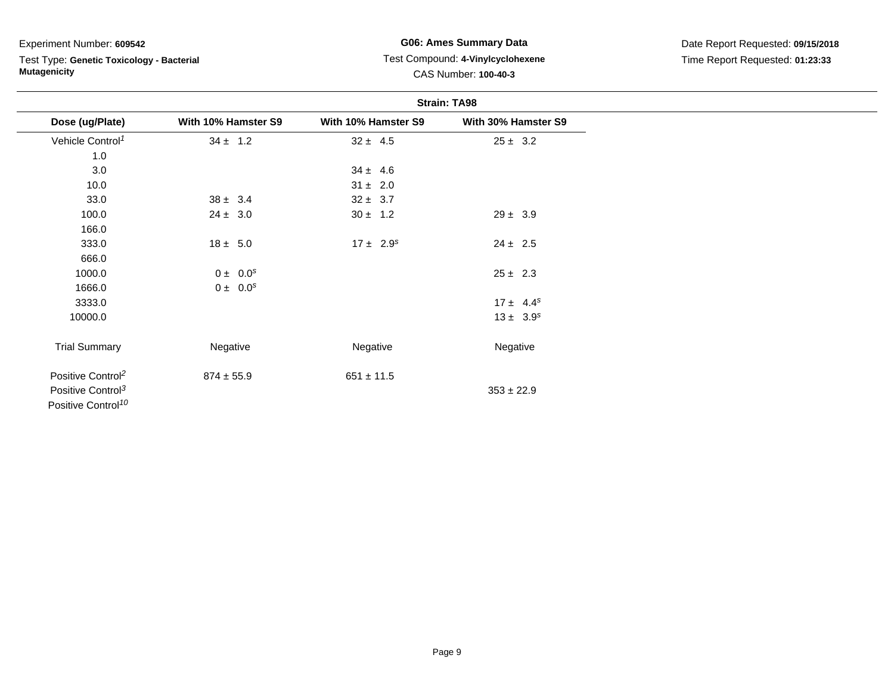Test Type: **Genetic Toxicology - Bacterial Mutagenicity**

**G06: Ames Summary Data** Test Compound: **4-Vinylcyclohexene**CAS Number: **100-40-3**

|                                |                     |                     | <b>Strain: TA98</b> |
|--------------------------------|---------------------|---------------------|---------------------|
| Dose (ug/Plate)                | With 10% Hamster S9 | With 10% Hamster S9 | With 30% Hamster S9 |
| Vehicle Control <sup>1</sup>   | $34 \pm 1.2$        | $32 \pm 4.5$        | $25 \pm 3.2$        |
| 1.0                            |                     |                     |                     |
| 3.0                            |                     | $34 \pm 4.6$        |                     |
| 10.0                           |                     | $31 \pm 2.0$        |                     |
| 33.0                           | $38 \pm 3.4$        | $32 \pm 3.7$        |                     |
| 100.0                          | $24 \pm 3.0$        | $30 \pm 1.2$        | $29 \pm 3.9$        |
| 166.0                          |                     |                     |                     |
| 333.0                          | $18 \pm 5.0$        | $17 \pm 2.9^s$      | $24 \pm 2.5$        |
| 666.0                          |                     |                     |                     |
| 1000.0                         | $0 \pm 0.0^s$       |                     | $25 \pm 2.3$        |
| 1666.0                         | $0 \pm 0.0^s$       |                     |                     |
| 3333.0                         |                     |                     | $17 \pm 4.4^s$      |
| 10000.0                        |                     |                     | $13 \pm 3.9^s$      |
| <b>Trial Summary</b>           | Negative            | Negative            | Negative            |
| Positive Control <sup>2</sup>  | $874 \pm 55.9$      | $651 \pm 11.5$      |                     |
| Positive Control <sup>3</sup>  |                     |                     | $353 \pm 22.9$      |
| Positive Control <sup>10</sup> |                     |                     |                     |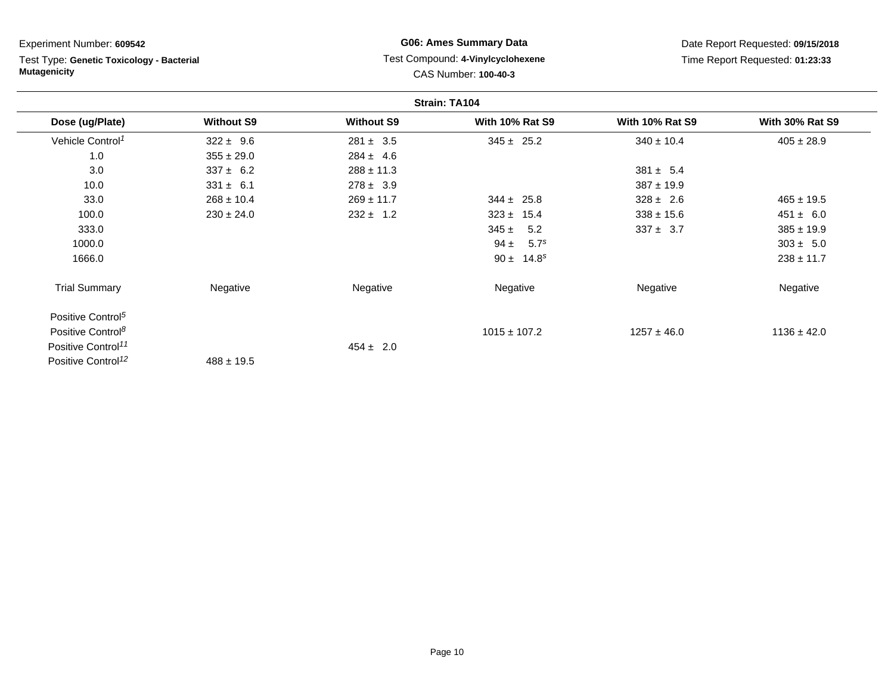| Experiment Number: 609542 |  |  |
|---------------------------|--|--|
|---------------------------|--|--|

Test Type: **Genetic Toxicology - Bacterial Mutagenicity**

## **G06: Ames Summary Data** Test Compound: **4-Vinylcyclohexene**CAS Number: **100-40-3**

|                                |                   |                   | Strain: TA104                |                        |                        |
|--------------------------------|-------------------|-------------------|------------------------------|------------------------|------------------------|
| Dose (ug/Plate)                | <b>Without S9</b> | <b>Without S9</b> | <b>With 10% Rat S9</b>       | <b>With 10% Rat S9</b> | <b>With 30% Rat S9</b> |
| Vehicle Control <sup>1</sup>   | $322 \pm 9.6$     | $281 \pm 3.5$     | $345 \pm 25.2$               | $340 \pm 10.4$         | $405 \pm 28.9$         |
| 1.0                            | $355 \pm 29.0$    | $284 \pm 4.6$     |                              |                        |                        |
| 3.0                            | $337 \pm 6.2$     | $288 \pm 11.3$    |                              | $381 \pm 5.4$          |                        |
| 10.0                           | $331 \pm 6.1$     | $278 \pm 3.9$     |                              | $387 \pm 19.9$         |                        |
| 33.0                           | $268 \pm 10.4$    | $269 \pm 11.7$    | $344 \pm 25.8$               | $328 \pm 2.6$          | $465 \pm 19.5$         |
| 100.0                          | $230 \pm 24.0$    | $232 \pm 1.2$     | $323 \pm 15.4$               | $338 \pm 15.6$         | $451 \pm 6.0$          |
| 333.0                          |                   |                   | 5.2<br>$345 \pm$             | $337 \pm 3.7$          | $385 \pm 19.9$         |
| 1000.0                         |                   |                   | $94 \pm$<br>5.7 <sup>s</sup> |                        | $303 \pm 5.0$          |
| 1666.0                         |                   |                   | $90 \pm 14.8^s$              |                        | $238 \pm 11.7$         |
| <b>Trial Summary</b>           | Negative          | Negative          | Negative                     | Negative               | Negative               |
| Positive Control <sup>5</sup>  |                   |                   |                              |                        |                        |
| Positive Control <sup>8</sup>  |                   |                   | $1015 \pm 107.2$             | $1257 \pm 46.0$        | $1136 \pm 42.0$        |
| Positive Control <sup>11</sup> |                   | $454 \pm 2.0$     |                              |                        |                        |
| Positive Control <sup>12</sup> | $488 \pm 19.5$    |                   |                              |                        |                        |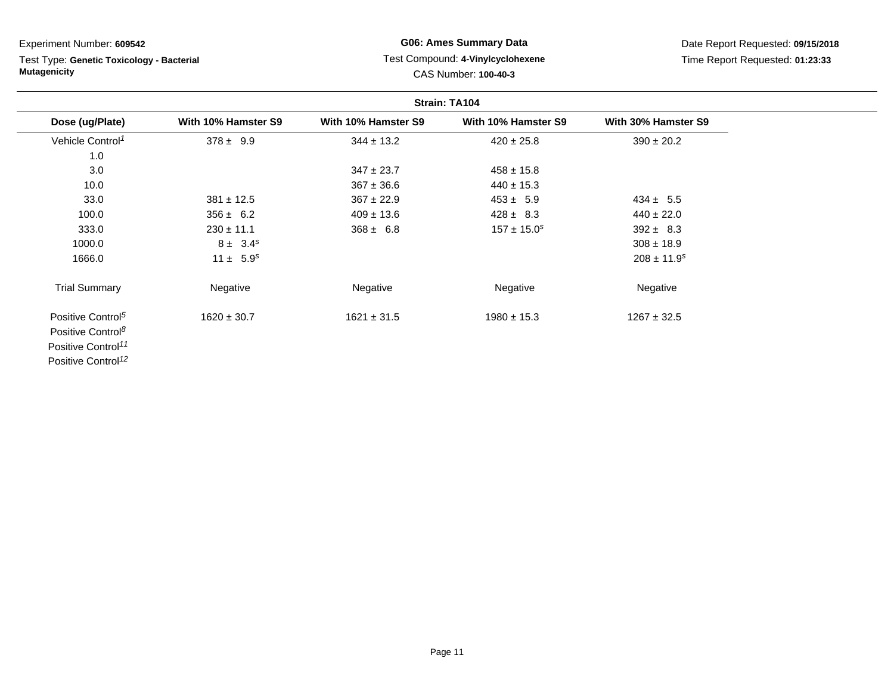# Test Type: **Genetic Toxicology - Bacterial Mutagenicity**

## **G06: Ames Summary Data** Test Compound: **4-Vinylcyclohexene**CAS Number: **100-40-3**

| Strain: TA104                                                                                                                      |                     |                     |                     |                             |
|------------------------------------------------------------------------------------------------------------------------------------|---------------------|---------------------|---------------------|-----------------------------|
| Dose (ug/Plate)                                                                                                                    | With 10% Hamster S9 | With 10% Hamster S9 | With 10% Hamster S9 | With 30% Hamster S9         |
| Vehicle Control <sup>1</sup>                                                                                                       | $378 \pm 9.9$       | $344 \pm 13.2$      | $420 \pm 25.8$      | $390 \pm 20.2$              |
| 1.0                                                                                                                                |                     |                     |                     |                             |
| 3.0                                                                                                                                |                     | $347 \pm 23.7$      | $458 \pm 15.8$      |                             |
| 10.0                                                                                                                               |                     | $367 \pm 36.6$      | $440 \pm 15.3$      |                             |
| 33.0                                                                                                                               | $381 \pm 12.5$      | $367 \pm 22.9$      | $453 \pm 5.9$       | $434 \pm 5.5$               |
| 100.0                                                                                                                              | $356 \pm 6.2$       | $409 \pm 13.6$      | $428 \pm 8.3$       | $440 \pm 22.0$              |
| 333.0                                                                                                                              | $230 \pm 11.1$      | $368 \pm 6.8$       | $157 \pm 15.0^s$    | $392 \pm 8.3$               |
| 1000.0                                                                                                                             | $8 \pm 3.4^s$       |                     |                     | $308 \pm 18.9$              |
| 1666.0                                                                                                                             | $11 \pm 5.9^s$      |                     |                     | $208 \pm 11.9$ <sup>s</sup> |
| <b>Trial Summary</b>                                                                                                               | Negative            | Negative            | Negative            | Negative                    |
| Positive Control <sup>5</sup><br>Positive Control <sup>8</sup><br>Positive Control <sup>11</sup><br>Positive Control <sup>12</sup> | $1620 \pm 30.7$     | $1621 \pm 31.5$     | $1980 \pm 15.3$     | $1267 \pm 32.5$             |